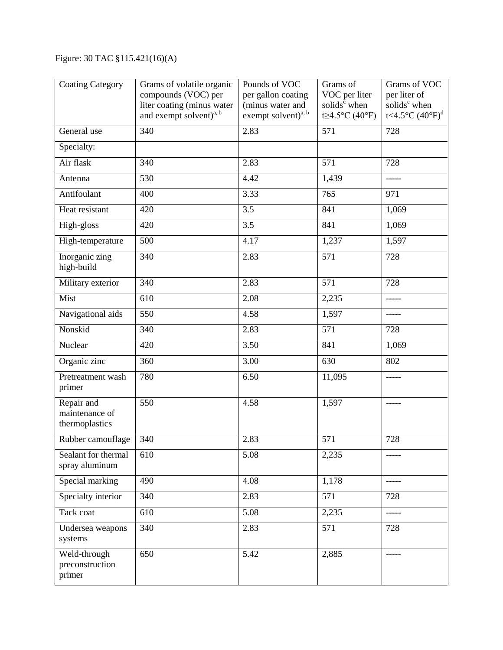## Figure: 30 TAC §115.421(16)(A)

| <b>Coating Category</b>                        | Grams of volatile organic<br>compounds (VOC) per<br>liter coating (minus water<br>and exempt solvent) <sup>a, b</sup> | Pounds of VOC<br>per gallon coating<br>(minus water and<br>exempt solvent) <sup>a, b</sup> | Grams of<br>VOC per liter<br>solids <sup>c</sup> when<br>t≥4.5°C (40°F) | Grams of VOC<br>per liter of<br>solids <sup>c</sup> when<br>t<4.5°C $(40^{\circ}F)^{d}$ |
|------------------------------------------------|-----------------------------------------------------------------------------------------------------------------------|--------------------------------------------------------------------------------------------|-------------------------------------------------------------------------|-----------------------------------------------------------------------------------------|
| General use                                    | $\overline{340}$                                                                                                      | 2.83                                                                                       | 571                                                                     | 728                                                                                     |
| Specialty:                                     |                                                                                                                       |                                                                                            |                                                                         |                                                                                         |
| Air flask                                      | 340                                                                                                                   | 2.83                                                                                       | 571                                                                     | 728                                                                                     |
| Antenna                                        | 530                                                                                                                   | 4.42                                                                                       | 1,439                                                                   | -----                                                                                   |
| Antifoulant                                    | 400                                                                                                                   | 3.33                                                                                       | 765                                                                     | 971                                                                                     |
| Heat resistant                                 | 420                                                                                                                   | 3.5                                                                                        | 841                                                                     | 1,069                                                                                   |
| High-gloss                                     | 420                                                                                                                   | 3.5                                                                                        | 841                                                                     | 1,069                                                                                   |
| High-temperature                               | 500                                                                                                                   | 4.17                                                                                       | 1,237                                                                   | 1,597                                                                                   |
| Inorganic zing<br>high-build                   | 340                                                                                                                   | 2.83                                                                                       | 571                                                                     | 728                                                                                     |
| Military exterior                              | 340                                                                                                                   | 2.83                                                                                       | 571                                                                     | 728                                                                                     |
| Mist                                           | 610                                                                                                                   | 2.08                                                                                       | 2,235                                                                   | -----                                                                                   |
| Navigational aids                              | 550                                                                                                                   | 4.58                                                                                       | 1,597                                                                   | -----                                                                                   |
| Nonskid                                        | 340                                                                                                                   | 2.83                                                                                       | 571                                                                     | 728                                                                                     |
| Nuclear                                        | 420                                                                                                                   | 3.50                                                                                       | 841                                                                     | 1,069                                                                                   |
| Organic zinc                                   | 360                                                                                                                   | 3.00                                                                                       | 630                                                                     | 802                                                                                     |
| Pretreatment wash<br>primer                    | 780                                                                                                                   | 6.50                                                                                       | 11,095                                                                  |                                                                                         |
| Repair and<br>maintenance of<br>thermoplastics | 550                                                                                                                   | 4.58                                                                                       | 1,597                                                                   | -----                                                                                   |
| Rubber camouflage                              | 340                                                                                                                   | 2.83                                                                                       | 571                                                                     | 728                                                                                     |
| Sealant for thermal<br>spray aluminum          | 610                                                                                                                   | 5.08                                                                                       | 2,235                                                                   |                                                                                         |
| Special marking                                | 490                                                                                                                   | 4.08                                                                                       | 1,178                                                                   | -----                                                                                   |
| Specialty interior                             | 340                                                                                                                   | 2.83                                                                                       | 571                                                                     | 728                                                                                     |
| Tack coat                                      | 610                                                                                                                   | 5.08                                                                                       | 2,235                                                                   | -----                                                                                   |
| Undersea weapons<br>systems                    | 340                                                                                                                   | 2.83                                                                                       | 571                                                                     | 728                                                                                     |
| Weld-through<br>preconstruction<br>primer      | 650                                                                                                                   | 5.42                                                                                       | 2,885                                                                   |                                                                                         |